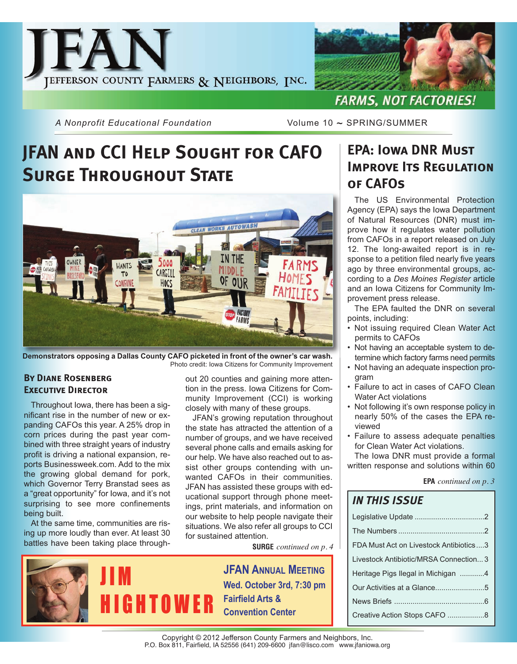



**FARMS, NOT FACTORIES!** 

*A Nonprofit Educational Foundation* Volume 10 ~ SPRING/SUMMER

## **JFAN and CCI Help Sought for CAFO Surge Throughout State**



**Demonstrators opposing a Dallas County CAFO picketed in front of the owner's car wash.** Photo credit: Iowa Citizens for Community Improvement

#### **By Diane Rosenberg Executive Director**

Throughout Iowa, there has been a significant rise in the number of new or expanding CAFOs this year. A 25% drop in corn prices during the past year combined with three straight years of industry profit is driving a national expansion, reports Businessweek.com. Add to the mix the growing global demand for pork, which Governor Terry Branstad sees as a "great opportunity" for Iowa, and it's not surprising to see more confinements being built.

At the same time, communities are rising up more loudly than ever. At least 30 battles have been taking place throughout 20 counties and gaining more attention in the press. Iowa Citizens for Community Improvement (CCI) is working closely with many of these groups.

JFAN's growing reputation throughout the state has attracted the attention of a number of groups, and we have received several phone calls and emails asking for our help. We have also reached out to assist other groups contending with unwanted CAFOs in their communities. JFAN has assisted these groups with educational support through phone meetings, print materials, and information on our website to help people navigate their situations. We also refer all groups to CCI for sustained attention.

**SURGE** *continued on p. 4*

**JFAN ANNUAL MEETING Wed. October 3rd, 7:30 pm Fairfield Arts & Convention Center**

### **EPA: Iowa DNR Must IMPROVE ITS REGULATION of CAFOs**

The US Environmental Protection Agency (EPA) says the Iowa Department of Natural Resources (DNR) must improve how it regulates water pollution from CAFOs in a report released on July 12. The long-awaited report is in response to a petition filed nearly five years ago by three environmental groups, according to a *Des Moines Register* article and an Iowa Citizens for Community Improvement press release.

The EPA faulted the DNR on several points, including:

- Not issuing required Clean Water Act permits to CAFOs
- Not having an acceptable system to determine which factory farms need permits
- Not having an adequate inspection program
- Failure to act in cases of CAFO Clean Water Act violations
- Not following it's own response policy in nearly 50% of the cases the EPA reviewed
- Failure to assess adequate penalties for Clean Water Act violations.

The Iowa DNR must provide a formal written response and solutions within 60

| <b>EPA</b> continued on $p \, . \, 3$ |  |  |
|---------------------------------------|--|--|
|---------------------------------------|--|--|

### *IN THIS ISSUE*

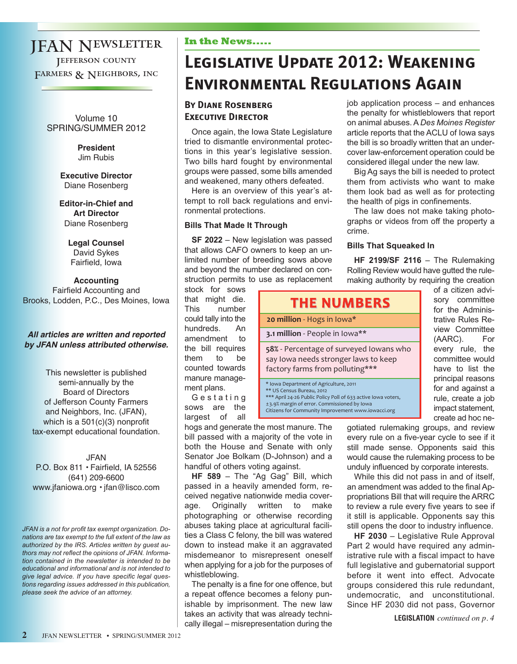### JFAN Newsletter Jefferson county FARMERS & NEIGHBORS, INC

Volume 10 SPRING/SUMMER 2012

> **President** Jim Rubis

**Executive Director** Diane Rosenberg

**Editor-in-Chief and Art Director** Diane Rosenberg

> **Legal Counsel** David Sykes Fairfield, Iowa

#### **Accounting** Fairfield Accounting and Brooks, Lodden, P.C., Des Moines, Iowa

#### **All articles are written and reported by JFAN unless attributed otherwise.**

This newsletter is published semi-annually by the Board of Directors of Jefferson County Farmers and Neighbors, Inc. (JFAN), which is a 501(c)(3) nonprofit tax-exempt educational foundation.

JFAN P.O. Box 811 • Fairfield, IA 52556 (641) 209-6600 www.jfaniowa.org • jfan@lisco.com

*JFAN is a not for profit tax exempt organization. Donations are tax exempt to the full extent of the law as authorized by the IRS. Articles written by guest authors may not reflect the opinions of JFAN. Information contained in the newsletter is intended to be educational and informational and is not intended to give legal advice. If you have specific legal questions regarding issues addressed in this publication, please seek the advice of an attorney.*

#### **In the News.....**

## **Legislative Update 2012: Weakening Environmental Regulations Again**

#### **By Diane Rosenberg Executive Director**

Once again, the Iowa State Legislature tried to dismantle environmental protections in this year's legislative session. Two bills hard fought by environmental groups were passed, some bills amended and weakened, many others defeated.

Here is an overview of this year's attempt to roll back regulations and environmental protections.

#### **Bills That Made It Through**

**SF 2022** – New legislation was passed that allows CAFO owners to keep an unlimited number of breeding sows above and beyond the number declared on construction permits to use as replacement

stock for sows that might die. This number could tally into the hundreds. An amendment to the bill requires them to be counted towards manure management plans.

G e s t a t i n g sows are the largest of all

hogs and generate the most manure. The bill passed with a majority of the vote in both the House and Senate with only Senator Joe Bolkam (D-Johnson) and a handful of others voting against.

**HF 589** – The "Ag Gag" Bill, which passed in a heavily amended form, received negative nationwide media coverage. Originally written to make photographing or otherwise recording abuses taking place at agricultural facilities a Class C felony, the bill was watered down to instead make it an aggravated misdemeanor to misrepresent oneself when applying for a job for the purposes of whistleblowing.

The penalty is a fine for one offence, but a repeat offence becomes a felony punishable by imprisonment. The new law takes an activity that was already technically illegal – misrepresentation during the

job application process – and enhances the penalty for whistleblowers that report on animal abuses. A *Des Moines Register* article reports that the ACLU of Iowa says the bill is so broadly written that an undercover law-enforcement operation could be considered illegal under the new law.

Big Ag says the bill is needed to protect them from activists who want to make them look bad as well as for protecting the health of pigs in confinements.

The law does not make taking photographs or videos from off the property a crime.

#### **Bills That Squeaked In**

**HF 2199/SF 2116** – The Rulemaking Rolling Review would have gutted the rulemaking authority by requiring the creation

| <b>THE NUMBERS</b>                                                                                                                                                                                                                        |  |  |
|-------------------------------------------------------------------------------------------------------------------------------------------------------------------------------------------------------------------------------------------|--|--|
| 20 million - Hogs in Iowa*                                                                                                                                                                                                                |  |  |
| 3.1 million - People in Iowa**                                                                                                                                                                                                            |  |  |
| 58% - Percentage of surveyed lowans who<br>say lowa needs stronger laws to keep<br>factory farms from polluting***                                                                                                                        |  |  |
| * Iowa Department of Agriculture, 2011<br>** US Census Bureau, 2012<br>*** April 24-26 Public Policy Poll of 633 active Iowa voters,<br>±3.9% margin of error. Commissioned by Iowa<br>Citizens for Community Improvement www.jowaccj.org |  |  |

of a citizen advisory committee for the Administrative Rules Review Committee (AARC). For every rule, the committee would have to list the principal reasons for and against a rule, create a job impact statement, create ad hoc ne-

gotiated rulemaking groups, and review every rule on a five-year cycle to see if it still made sense. Opponents said this would cause the rulemaking process to be unduly influenced by corporate interests.

While this did not pass in and of itself, an amendment was added to the final Appropriations Bill that will require the ARRC to review a rule every five years to see if it still is applicable. Opponents say this still opens the door to industry influence.

**HF 2030** – Legislative Rule Approval Part 2 would have required any administrative rule with a fiscal impact to have full legislative and gubernatorial support before it went into effect. Advocate groups considered this rule redundant, undemocratic, and unconstitutional. Since HF 2030 did not pass, Governor

**LEGISLATION** *continued on p. 4*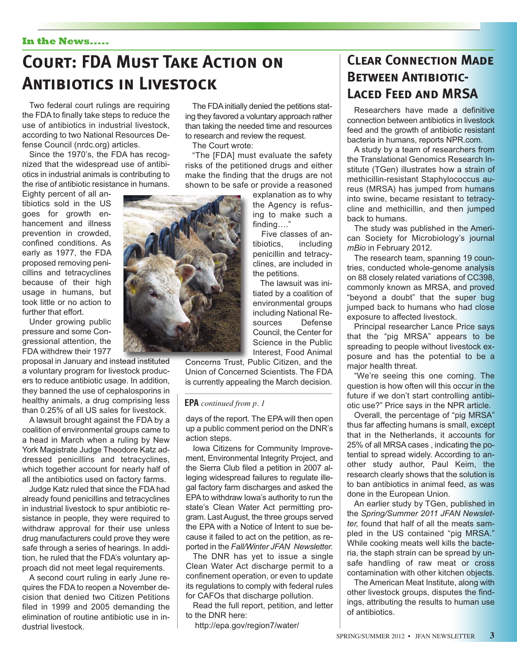#### **In the News.....**

## **Court: FDA Must Take Action on Antibiotics in Livestock**

Two federal court rulings are requiring the FDA to finally take steps to reduce the use of antibiotics in industrial livestock, according to two National Resources Defense Council (nrdc.org) articles.

Since the 1970's, the FDA has recognized that the widespread use of antibiotics in industrial animals is contributing to the rise of antibiotic resistance in humans.

Eighty percent of all antibiotics sold in the US goes for growth enhancement and illness prevention in crowded, confined conditions. As early as 1977, the FDA proposed removing penicillins and tetracyclines because of their high usage in humans, but took little or no action to further that effort.

Under growing public pressure and some Congressional attention, the FDA withdrew their 1977

proposal in January and instead instituted a voluntary program for livestock producers to reduce antibiotic usage. In addition, they banned the use of cephalosporins in healthy animals, a drug comprising less than 0.25% of all US sales for livestock.

A lawsuit brought against the FDA by a coalition of environmental groups came to a head in March when a ruling by New York Magistrate Judge Theodore Katz addressed penicillins and tetracyclines, which together account for nearly half of all the antibiotics used on factory farms.

Judge Katz ruled that since the FDA had already found penicillins and tetracyclines in industrial livestock to spur antibiotic resistance in people, they were required to withdraw approval for their use unless drug manufacturers could prove they were safe through a series of hearings. In addition, he ruled that the FDA's voluntary approach did not meet legal requirements.

A second court ruling in early June requires the FDA to reopen a November decision that denied two Citizen Petitions filed in 1999 and 2005 demanding the elimination of routine antibiotic use in industrial livestock.

The FDA initially denied the petitions stating they favored a voluntary approach rather than taking the needed time and resources to research and review the request.

The Court wrote:

"The [FDA] must evaluate the safety risks of the petitioned drugs and either make the finding that the drugs are not shown to be safe or provide a reasoned

explanation as to why the Agency is refusing to make such a finding…."

Five classes of antibiotics, including penicillin and tetracyclines, are included in the petitions.

The lawsuit was initiated by a coalition of environmental groups including National Resources Defense Council, the Center for Science in the Public Interest, Food Animal

Concerns Trust, Public Citizen, and the Union of Concerned Scientists. The FDA is currently appealing the March decision.

#### **EPA** *continued from p. 1*

days of the report. The EPA will then open up a public comment period on the DNR's action steps.

Iowa Citizens for Community Improvement, Environmental Integrity Project, and the Sierra Club filed a petition in 2007 alleging widespread failures to regulate illegal factory farm discharges and asked the EPA to withdraw Iowa's authority to run the state's Clean Water Act permitting program. Last August, the three groups served the EPA with a Notice of Intent to sue because it failed to act on the petition, as reported in the *Fall/Winter JFAN Newsletter.*

The DNR has yet to issue a single Clean Water Act discharge permit to a confinement operation, or even to update its regulations to comply with federal rules for CAFOs that discharge pollution.

Read the full report, petition, and letter to the DNR here:

http://epa.gov/region7/water/

### **Clear Connection Made BETWEEN ANTIBIOTIC-Laced Feed and MRSA**

Researchers have made a definitive connection between antibiotics in livestock feed and the growth of antibiotic resistant bacteria in humans, reports NPR.com.

A study by a team of researchers from the Translational Genomics Research Institute (TGen) illustrates how a strain of methicillin-resistant Staphylococcus aureus (MRSA) has jumped from humans into swine, became resistant to tetracycline and methicillin, and then jumped back to humans.

The study was published in the American Society for Microbiology's journal *mBio* in February 2012.

The research team, spanning 19 countries, conducted whole-genome analysis on 88 closely related variations of CC398, commonly known as MRSA, and proved "beyond a doubt" that the super bug jumped back to humans who had close exposure to affected livestock.

Principal researcher Lance Price says that the "pig MRSA" appears to be spreading to people without livestock exposure and has the potential to be a major health threat.

"We're seeing this one coming. The question is how often will this occur in the future if we don't start controlling antibiotic use?" Price says in the NPR article.

Overall, the percentage of "pig MRSA" thus far affecting humans is small, except that in the Netherlands, it accounts for 25% of all MRSA cases , indicating the potential to spread widely. According to another study author, Paul Keim, the research clearly shows that the solution is to ban antibiotics in animal feed, as was done in the European Union.

An earlier study by TGen, published in the *Spring/Summer 2011 JFAN Newsletter,* found that half of all the meats sampled in the US contained "pig MRSA." While cooking meats well kills the bacteria, the staph strain can be spread by unsafe handling of raw meat or cross contamination with other kitchen objects.

The American Meat Institute, along with other livestock groups, disputes the findings, attributing the results to human use of antibiotics.

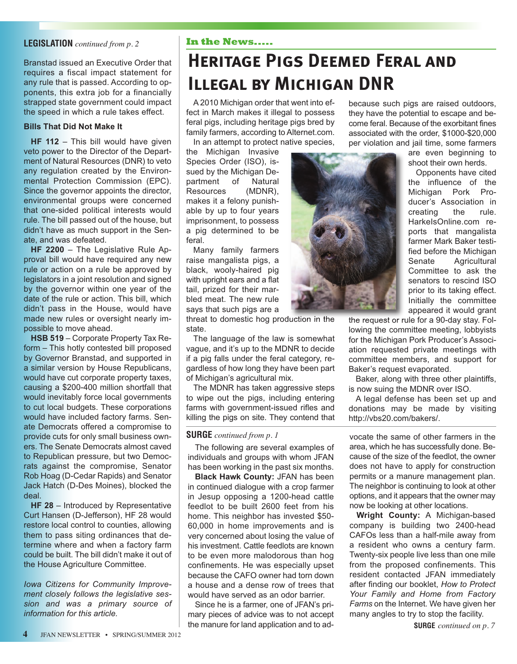#### **LEGISLATION** *continued from p. 2*

Branstad issued an Executive Order that requires a fiscal impact statement for any rule that is passed. According to opponents, this extra job for a financially strapped state government could impact the speed in which a rule takes effect.

#### **Bills That Did Not Make It**

**HF 112** – This bill would have given veto power to the Director of the Department of Natural Resources (DNR) to veto any regulation created by the Environmental Protection Commission (EPC). Since the governor appoints the director, environmental groups were concerned that one-sided political interests would rule. The bill passed out of the house, but didn't have as much support in the Senate, and was defeated.

**HF 2200** – The Legislative Rule Approval bill would have required any new rule or action on a rule be approved by legislators in a joint resolution and signed by the governor within one year of the date of the rule or action. This bill, which didn't pass in the House, would have made new rules or oversight nearly impossible to move ahead.

**HSB 519** – Corporate Property Tax Reform – This hotly contested bill proposed by Governor Branstad, and supported in a similar version by House Republicans, would have cut corporate property taxes, causing a \$200-400 million shortfall that would inevitably force local governments to cut local budgets. These corporations would have included factory farms. Senate Democrats offered a compromise to provide cuts for only small business owners. The Senate Democrats almost caved to Republican pressure, but two Democrats against the compromise, Senator Rob Hoag (D-Cedar Rapids) and Senator Jack Hatch (D-Des Moines), blocked the deal.

**HF 28** – Introduced by Representative Curt Hansen (D-Jefferson), HF 28 would restore local control to counties, allowing them to pass siting ordinances that determine where and when a factory farm could be built. The bill didn't make it out of the House Agriculture Committee.

*Iowa Citizens for Community Improvement closely follows the legislative session and was a primary source of information for this article.*

#### **In the News.....**

## **Heritage Pigs Deemed Feral and Illegal by Michigan DNR**

A 2010 Michigan order that went into effect in March makes it illegal to possess feral pigs, including heritage pigs bred by family farmers, according to Alternet.com.

In an attempt to protect native species, the Michigan Invasive Species Order (ISO), issued by the Michigan Department of Natural Resources (MDNR), makes it a felony punishable by up to four years imprisonment, to possess a pig determined to be feral.

Many family farmers raise mangalista pigs, a black, wooly-haired pig with upright ears and a flat tail, prized for their marbled meat. The new rule says that such pigs are a

threat to domestic hog production in the state.

The language of the law is somewhat vague, and it's up to the MDNR to decide if a pig falls under the feral category, regardless of how long they have been part of Michigan's agricultural mix.

The MDNR has taken aggressive steps to wipe out the pigs, including entering farms with government-issued rifles and killing the pigs on site. They contend that

#### **SURGE** *continued from p. 1*

The following are several examples of individuals and groups with whom JFAN has been working in the past six months.

**Black Hawk County:** JFAN has been in continued dialogue with a crop farmer in Jesup opposing a 1200-head cattle feedlot to be built 2600 feet from his home. This neighbor has invested \$50- 60,000 in home improvements and is very concerned about losing the value of his investment. Cattle feedlots are known to be even more malodorous than hog confinements. He was especially upset because the CAFO owner had torn down a house and a dense row of trees that would have served as an odor barrier.

Since he is a farmer, one of JFAN's primary pieces of advice was to not accept the manure for land application and to ad-



are even beginning to shoot their own herds.

Opponents have cited the influence of the Michigan Pork Producer's Association in creating the rule. HarkeIsOnline.com reports that mangalista farmer Mark Baker testified before the Michigan Senate Agricultural Committee to ask the senators to rescind ISO prior to its taking effect. Initially the committee appeared it would grant

the request or rule for a 90-day stay. Following the committee meeting, lobbyists for the Michigan Pork Producer's Association requested private meetings with committee members, and support for Baker's request evaporated.

Baker, along with three other plaintiffs, is now suing the MDNR over ISO.

A legal defense has been set up and donations may be made by visiting http://vbs20.com/bakers/.

vocate the same of other farmers in the area, which he has successfully done. Because of the size of the feedlot, the owner does not have to apply for construction permits or a manure management plan. The neighbor is continuing to look at other options, and it appears that the owner may now be looking at other locations.

**Wright County:** A Michigan-based company is building two 2400-head CAFOs less than a half-mile away from a resident who owns a century farm. Twenty-six people live less than one mile from the proposed confinements. This resident contacted JFAN immediately after finding our booklet, *How to Protect Your Family and Home from Factory Farms* on the Internet. We have given her many angles to try to stop the facility.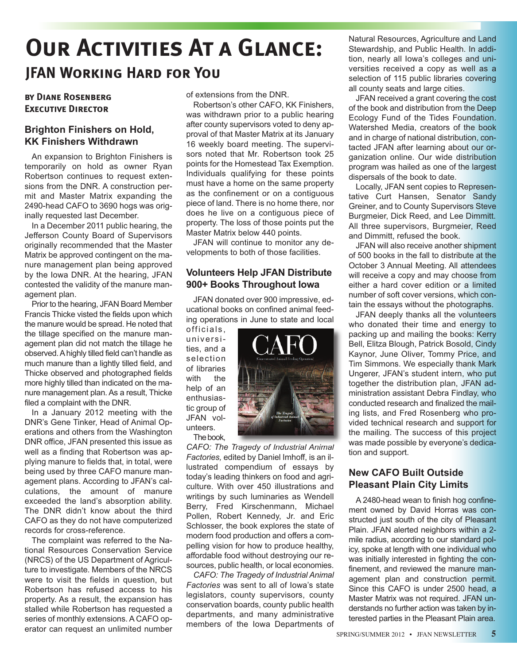## **Our Activities At a Glance: JFAN Working Hard for You**

#### **by Diane Rosenberg Executive Director**

#### **Brighton Finishers on Hold, KK Finishers Withdrawn**

An expansion to Brighton Finishers is temporarily on hold as owner Ryan Robertson continues to request extensions from the DNR. A construction permit and Master Matrix expanding the 2490-head CAFO to 3690 hogs was originally requested last December.

In a December 2011 public hearing, the Jefferson County Board of Supervisors originally recommended that the Master Matrix be approved contingent on the manure management plan being approved by the Iowa DNR. At the hearing, JFAN contested the validity of the manure management plan.

Prior to the hearing, JFAN Board Member Francis Thicke visted the fields upon which the manure would be spread. He noted that the tillage specified on the manure management plan did not match the tillage he observed. A highly tilled field can't handle as much manure than a lightly tilled field, and Thicke observed and photographed fields more highly tilled than indicated on the manure management plan. As a result, Thicke filed a complaint with the DNR.

In a January 2012 meeting with the DNR's Gene Tinker, Head of Animal Operations and others from the Washington DNR office, JFAN presented this issue as well as a finding that Robertson was applying manure to fields that, in total, were being used by three CAFO manure management plans. According to JFAN's calculations, the amount of manure exceeded the land's absorption ability. The DNR didn't know about the third CAFO as they do not have computerized records for cross-reference.

The complaint was referred to the National Resources Conservation Service (NRCS) of the US Department of Agriculture to investigate. Members of the NRCS were to visit the fields in question, but Robertson has refused access to his property. As a result, the expansion has stalled while Robertson has requested a series of monthly extensions. A CAFO operator can request an unlimited number of extensions from the DNR.

Robertson's other CAFO, KK Finishers, was withdrawn prior to a public hearing after county supervisors voted to deny approval of that Master Matrix at its January 16 weekly board meeting. The supervisors noted that Mr. Robertson took 25 points for the Homestead Tax Exemption. Individuals qualifying for these points must have a home on the same property as the confinement or on a contiguous piece of land. There is no home there, nor does he live on a contiguous piece of property. The loss of those points put the Master Matrix below 440 points.

JFAN will continue to monitor any developments to both of those facilities.

#### **Volunteers Help JFAN Distribute 900+ Books Throughout Iowa**

JFAN donated over 900 impressive, educational books on confined animal feeding operations in June to state and local

officials, universities, and a selection of libraries with the help of an enthusiastic group of JFAN volunteers.

The book,

*CAFO: The Tragedy of Industrial Animal Factories,* edited by Daniel Imhoff, is an illustrated compendium of essays by today's leading thinkers on food and agriculture. With over 450 illustrations and writings by such luminaries as Wendell Berry, Fred Kirschenmann, Michael Pollen, Robert Kennedy, Jr. and Eric Schlosser, the book explores the state of modern food production and offers a compelling vision for how to produce healthy, affordable food without destroying our resources, public health, or local economies.

*CAFO: The Tragedy of Industrial Animal Factories* was sent to all of Iowa's state legislators, county supervisors, county conservation boards, county public health departments, and many administrative members of the Iowa Departments of

Natural Resources, Agriculture and Land Stewardship, and Public Health. In addition, nearly all Iowa's colleges and universities received a copy as well as a selection of 115 public libraries covering all county seats and large cities.

JFAN received a grant covering the cost of the book and distribution from the Deep Ecology Fund of the Tides Foundation. Watershed Media, creators of the book and in charge of national distribution, contacted JFAN after learning about our organization online. Our wide distribution program was hailed as one of the largest dispersals of the book to date.

Locally, JFAN sent copies to Representative Curt Hansen, Senator Sandy Greiner, and to County Supervisors Steve Burgmeier, Dick Reed, and Lee Dimmitt. All three supervisors, Burgmeier, Reed and Dimmitt, refused the book.

JFAN will also receive another shipment of 500 books in the fall to distribute at the October 3 Annual Meeting. All attendees will receive a copy and may choose from either a hard cover edition or a limited number of soft cover versions, which contain the essays without the photographs.

JFAN deeply thanks all the volunteers who donated their time and energy to packing up and mailing the books: Kerry Bell, Elitza Blough, Patrick Bosold, Cindy Kaynor, June Oliver, Tommy Price, and Tim Simmons. We especially thank Mark Ungerer, JFAN's student intern, who put together the distribution plan, JFAN administration assistant Debra Findlay, who conducted research and finalized the mailing lists, and Fred Rosenberg who provided technical research and support for the mailing. The success of this project was made possible by everyone's dedication and support.

### **New CAFO Built Outside Pleasant Plain City Limits**

A 2480-head wean to finish hog confinement owned by David Horras was constructed just south of the city of Pleasant Plain. JFAN alerted neighbors within a 2 mile radius, according to our standard policy, spoke at length with one individual who was initially interested in fighting the confinement, and reviewed the manure management plan and construction permit. Since this CAFO is under 2500 head, a Master Matrix was not required. JFAN understands no further action was taken by interested parties in the Pleasant Plain area.

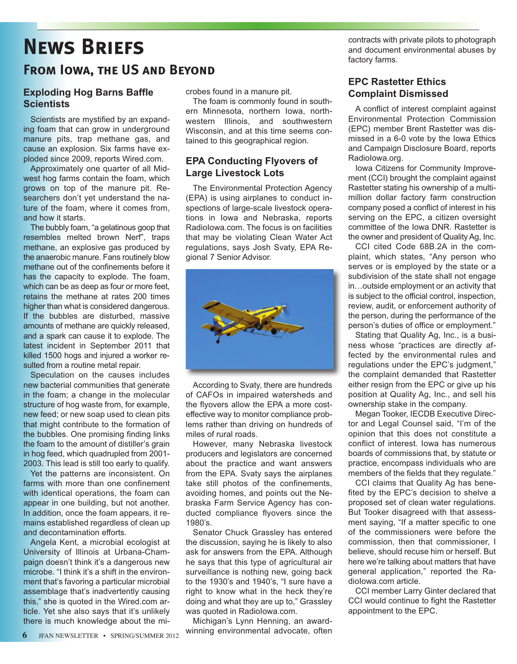# **News Briefs**

### **From Iowa, the US and Beyond**

#### **Exploding Hog Barns Baffle Scientists**

Scientists are mystified by an expanding foam that can grow in underground manure pits, trap methane gas, and cause an explosion. Six farms have exploded since 2009, reports Wired.com.

Approximately one quarter of all Midwest hog farms contain the foam, which grows on top of the manure pit. Researchers don't yet understand the nature of the foam, where it comes from, and how it starts.

The bubbly foam, "a gelatinous goop that resembles melted brown Nerf", traps methane, an explosive gas produced by the anaerobic manure. Fans routinely blow methane out of the confinements before it has the capacity to explode. The foam, which can be as deep as four or more feet, retains the methane at rates 200 times higher than what is considered dangerous. If the bubbles are disturbed, massive amounts of methane are quickly released, and a spark can cause it to explode. The latest incident in September 2011 that killed 1500 hogs and injured a worker resulted from a routine metal repair.

Speculation on the causes includes new bacterial communities that generate in the foam; a change in the molecular structure of hog waste from, for example, new feed; or new soap used to clean pits that might contribute to the formation of the bubbles. One promising finding links the foam to the amount of distiller's grain in hog feed, which quadrupled from 2001- 2003. This lead is still too early to qualify.

Yet the patterns are inconsistent. On farms with more than one confinement with identical operations, the foam can appear in one building, but not another. In addition, once the foam appears, it remains established regardless of clean up and decontamination efforts.

Angela Kent, a microbial ecologist at University of Illinois at Urbana-Champaign doesn't think it's a dangerous new microbe. "I think it's a shift in the environment that's favoring a particular microbial assemblage that's inadvertently causing this," she is quoted in the Wired.com article. Yet she also says that it's unlikely there is much knowledge about the microbes found in a manure pit.

The foam is commonly found in southern Minnesota, northern Iowa, northwestern Illinois, and southwestern Wisconsin, and at this time seems contained to this geographical region.

#### **EPA Conducting Flyovers of Large Livestock Lots**

The Environmental Protection Agency (EPA) is using airplanes to conduct inspections of large-scale livestock operations in Iowa and Nebraska, reports RadioIowa.com. The focus is on facilities that may be violating Clean Water Act regulations, says Josh Svaty, EPA Regional 7 Senior Advisor.



According to Svaty, there are hundreds of CAFOs in impaired watersheds and the flyovers allow the EPA a more costeffective way to monitor compliance problems rather than driving on hundreds of miles of rural roads.

However, many Nebraska livestock producers and legislators are concerned about the practice and want answers from the EPA. Svaty says the airplanes take still photos of the confinements, avoiding homes, and points out the Nebraska Farm Service Agency has conducted compliance flyovers since the 1980's.

Senator Chuck Grassley has entered the discussion, saying he is likely to also ask for answers from the EPA. Although he says that this type of agricultural air surveillance is nothing new, going back to the 1930's and 1940's, "I sure have a right to know what in the heck they're doing and what they are up to," Grassley was quoted in RadioIowa.com.

Michigan's Lynn Henning, an awardwinning environmental advocate, often contracts with private pilots to photograph and document environmental abuses by factory farms.

#### **EPC Rastetter Ethics Complaint Dismissed**

A conflict of interest complaint against Environmental Protection Commission (EPC) member Brent Rastetter was dismissed in a 6-0 vote by the Iowa Ethics and Campaign Disclosure Board, reports RadioIowa.org.

Iowa Citizens for Community Improvement (CCI) brought the complaint against Rastetter stating his ownership of a multimillion dollar factory farm construction company posed a conflict of interest in his serving on the EPC, a citizen oversight committee of the Iowa DNR. Rastetter is the owner and president of Quality Ag, Inc.

CCI cited Code 68B.2A in the complaint, which states, "Any person who serves or is employed by the state or a subdivision of the state shall not engage in…outside employment or an activity that is subject to the official control, inspection, review, audit, or enforcement authority of the person, during the performance of the person's duties of office or employment."

Stating that Quality Ag, Inc., is a business whose "practices are directly affected by the environmental rules and regulations under the EPC's judgment," the complaint demanded that Rastetter either resign from the EPC or give up his position at Quality Ag, Inc., and sell his ownership stake in the company.

Megan Tooker, IECDB Executive Director and Legal Counsel said, "I'm of the opinion that this does not constitute a conflict of interest. Iowa has numerous boards of commissions that, by statute or practice, encompass individuals who are members of the fields that they regulate."

CCI claims that Quality Ag has benefited by the EPC's decision to shelve a proposed set of clean water regulations. But Tooker disagreed with that assessment saying, "If a matter specific to one of the commissioners were before the commission, then that commissioner, I believe, should recuse him or herself. But here we're talking about matters that have general application," reported the RadioIowa.com article.

CCI member Larry Ginter declared that CCI would continue to fight the Rastetter appointment to the EPC.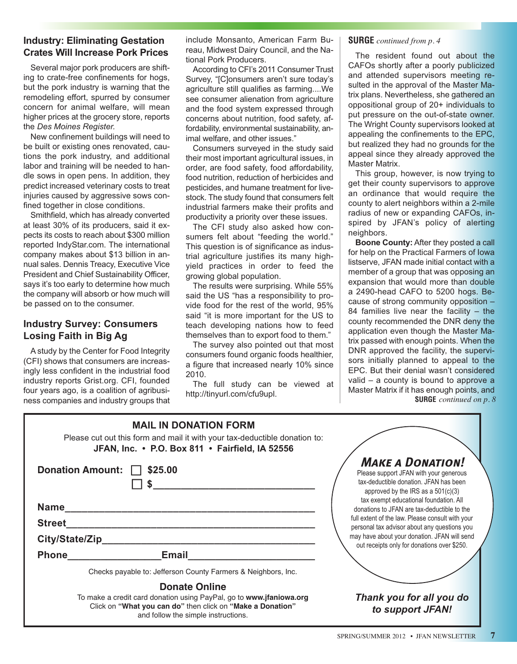#### **Industry: Eliminating Gestation Crates Will Increase Pork Prices**

Several major pork producers are shifting to crate-free confinements for hogs, but the pork industry is warning that the remodeling effort, spurred by consumer concern for animal welfare, will mean higher prices at the grocery store, reports the *Des Moines Register.*

New confinement buildings will need to be built or existing ones renovated, cautions the pork industry, and additional labor and training will be needed to handle sows in open pens. In addition, they predict increased veterinary costs to treat injuries caused by aggressive sows confined together in close conditions.

Smithfield, which has already converted at least 30% of its producers, said it expects its costs to reach about \$300 million reported IndyStar.com. The international company makes about \$13 billion in annual sales. Dennis Treacy, Executive Vice President and Chief Sustainability Officer, says it's too early to determine how much the company will absorb or how much will be passed on to the consumer.

#### **Industry Survey: Consumers Losing Faith in Big Ag**

A study by the Center for Food Integrity (CFI) shows that consumers are increasingly less confident in the industrial food industry reports Grist.org. CFI, founded four years ago, is a coalition of agribusiness companies and industry groups that include Monsanto, American Farm Bureau, Midwest Dairy Council, and the National Pork Producers.

According to CFI's 2011 Consumer Trust Survey, "[C]onsumers aren't sure today's agriculture still qualifies as farming....We see consumer alienation from agriculture and the food system expressed through concerns about nutrition, food safety, affordability, environmental sustainability, animal welfare, and other issues."

Consumers surveyed in the study said their most important agricultural issues, in order, are food safety, food affordability, food nutrition, reduction of herbicides and pesticides, and humane treatment for livestock. The study found that consumers felt industrial farmers make their profits and productivity a priority over these issues.

The CFI study also asked how consumers felt about "feeding the world." This question is of significance as industrial agriculture justifies its many highyield practices in order to feed the growing global population.

The results were surprising. While 55% said the US "has a responsibility to provide food for the rest of the world, 95% said "it is more important for the US to teach developing nations how to feed themselves than to export food to them."

The survey also pointed out that most consumers found organic foods healthier, a figure that increased nearly 10% since 2010.

The full study can be viewed at http://tinyurl.com/cfu9upl.

#### **SURGE** *continued from p. 4*

The resident found out about the CAFOs shortly after a poorly publicized and attended supervisors meeting resulted in the approval of the Master Matrix plans. Nevertheless, she gathered an oppositional group of 20+ individuals to put pressure on the out-of-state owner. The Wright County supervisors looked at appealing the confinements to the EPC, but realized they had no grounds for the appeal since they already approved the Master Matrix.

This group, however, is now trying to get their county supervisors to approve an ordinance that would require the county to alert neighbors within a 2-mile radius of new or expanding CAFOs, inspired by JFAN's policy of alerting neighbors.

**Boone County:** After they posted a call for help on the Practical Farmers of Iowa listserve, JFAN made initial contact with a member of a group that was opposing an expansion that would more than double a 2490-head CAFO to 5200 hogs. Because of strong community opposition – 84 families live near the facility  $-$  the county recommended the DNR deny the application even though the Master Matrix passed with enough points. When the DNR approved the facility, the supervisors initially planned to appeal to the EPC. But their denial wasn't considered valid – a county is bound to approve a Master Matrix if it has enough points, and **SURGE** *continued on p. 8*

| <b>MAIL IN DONATION FORM</b><br>Please cut out this form and mail it with your tax-deductible donation to:<br>JFAN, Inc. • P.O. Box 811 • Fairfield, IA 52556 |                                                                                                                                                                          |                                                                                                                                                                                                                                              |  |
|---------------------------------------------------------------------------------------------------------------------------------------------------------------|--------------------------------------------------------------------------------------------------------------------------------------------------------------------------|----------------------------------------------------------------------------------------------------------------------------------------------------------------------------------------------------------------------------------------------|--|
|                                                                                                                                                               | <b>Donation Amount:</b><br>\$25.00                                                                                                                                       | <b>MAKE A DONATION!</b><br>Please support JFAN with your generous<br>tax-deductible donation. JFAN has been<br>approved by the IRS as a $501(c)(3)$<br>tax exempt educational foundation. All<br>donations to JFAN are tax-deductible to the |  |
| <b>Name</b>                                                                                                                                                   |                                                                                                                                                                          |                                                                                                                                                                                                                                              |  |
| <b>Street</b><br><u> 1989 - Johann John Stone, mars et al. (1989)</u><br>City/State/Zip                                                                       |                                                                                                                                                                          | full extent of the law. Please consult with your<br>personal tax advisor about any questions you<br>may have about your donation. JFAN will send<br>out receipts only for donations over \$250.                                              |  |
|                                                                                                                                                               |                                                                                                                                                                          |                                                                                                                                                                                                                                              |  |
|                                                                                                                                                               | Checks payable to: Jefferson County Farmers & Neighbors, Inc.                                                                                                            |                                                                                                                                                                                                                                              |  |
|                                                                                                                                                               | <b>Donate Online</b>                                                                                                                                                     |                                                                                                                                                                                                                                              |  |
|                                                                                                                                                               | To make a credit card donation using PayPal, go to www.jfaniowa.org<br>Click on "What you can do" then click on "Make a Donation"<br>and follow the simple instructions. | Thank you for all you do<br>to support JFAN!                                                                                                                                                                                                 |  |